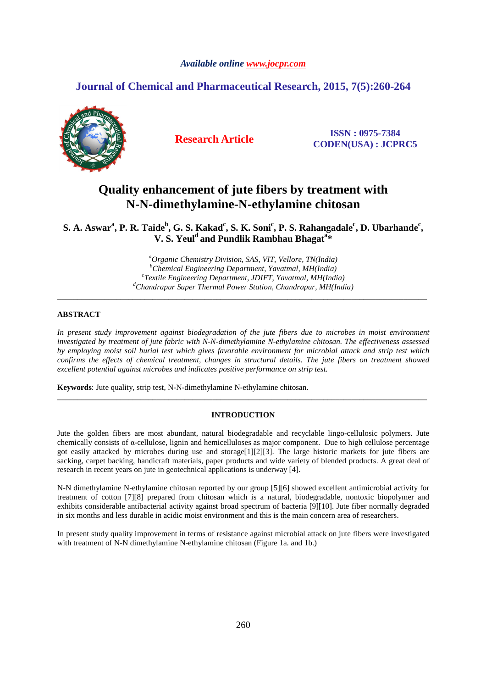## **Journal of Chemical and Pharmaceutical Research, 2015, 7(5):260-264**



**Research Article ISSN : 0975-7384 CODEN(USA) : JCPRC5**

# **Quality enhancement of jute fibers by treatment with N-N-dimethylamine-N-ethylamine chitosan**

 $\mathbf{S}. \mathbf{A}. \mathbf{A} \mathbf{swar}^{\mathbf{a}}, \mathbf{P}. \mathbf{R}. \mathbf{Taide}^{\mathbf{b}}, \mathbf{G}. \mathbf{S}. \mathbf{Ka} \mathbf{kad}^{\mathbf{c}}, \mathbf{S}. \mathbf{K}. \mathbf{Soni}^{\mathbf{c}}, \mathbf{P}. \mathbf{S}. \mathbf{Rahangadale}^{\mathbf{c}}, \mathbf{D}. \mathbf{U} \mathbf{barhande}^{\mathbf{c}},$ **V. S. Yeul<sup>d</sup>and Pundlik Rambhau Bhagat<sup>a</sup> \*** 

> *<sup>a</sup>Organic Chemistry Division, SAS, VIT, Vellore, TN(India) <sup>b</sup>Chemical Engineering Department, Yavatmal, MH(India) c Textile Engineering Department, JDIET, Yavatmal, MH(India) <sup>d</sup>Chandrapur Super Thermal Power Station, Chandrapur, MH(India)*

\_\_\_\_\_\_\_\_\_\_\_\_\_\_\_\_\_\_\_\_\_\_\_\_\_\_\_\_\_\_\_\_\_\_\_\_\_\_\_\_\_\_\_\_\_\_\_\_\_\_\_\_\_\_\_\_\_\_\_\_\_\_\_\_\_\_\_\_\_\_\_\_\_\_\_\_\_\_\_\_\_\_\_\_\_\_\_\_\_\_\_\_\_

### **ABSTRACT**

*In present study improvement against biodegradation of the jute fibers due to microbes in moist environment investigated by treatment of jute fabric with N-N-dimethylamine N-ethylamine chitosan. The effectiveness assessed by employing moist soil burial test which gives favorable environment for microbial attack and strip test which confirms the effects of chemical treatment, changes in structural details. The jute fibers on treatment showed excellent potential against microbes and indicates positive performance on strip test.* 

**Keywords**: Jute quality, strip test, N-N-dimethylamine N-ethylamine chitosan.

### **INTRODUCTION**

\_\_\_\_\_\_\_\_\_\_\_\_\_\_\_\_\_\_\_\_\_\_\_\_\_\_\_\_\_\_\_\_\_\_\_\_\_\_\_\_\_\_\_\_\_\_\_\_\_\_\_\_\_\_\_\_\_\_\_\_\_\_\_\_\_\_\_\_\_\_\_\_\_\_\_\_\_\_\_\_\_\_\_\_\_\_\_\_\_\_\_\_\_

Jute the golden fibers are most abundant, natural biodegradable and recyclable lingo-cellulosic polymers. Jute chemically consists of α-cellulose, lignin and hemicelluloses as major component. Due to high cellulose percentage got easily attacked by microbes during use and storage[1][2][3]. The large historic markets for jute fibers are sacking, carpet backing, handicraft materials, paper products and wide variety of blended products. A great deal of research in recent years on jute in geotechnical applications is underway [4].

N-N dimethylamine N-ethylamine chitosan reported by our group [5][6] showed excellent antimicrobial activity for treatment of cotton [7][8] prepared from chitosan which is a natural, biodegradable, nontoxic biopolymer and exhibits considerable antibacterial activity against broad spectrum of bacteria [9][10]. Jute fiber normally degraded in six months and less durable in acidic moist environment and this is the main concern area of researchers.

In present study quality improvement in terms of resistance against microbial attack on jute fibers were investigated with treatment of N-N dimethylamine N-ethylamine chitosan (Figure 1a. and 1b.)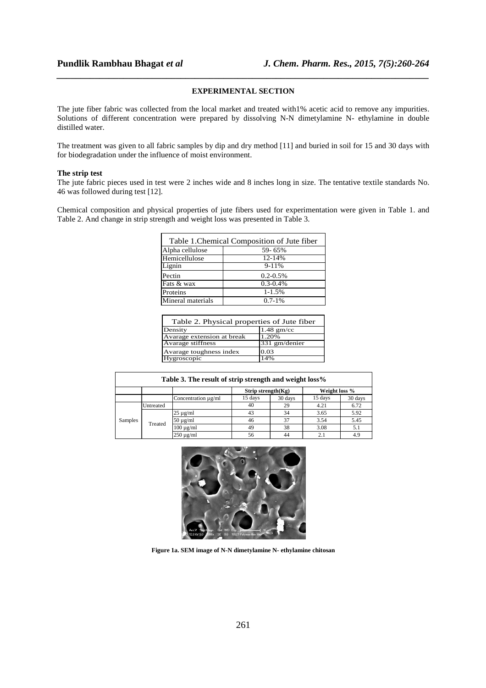### **EXPERIMENTAL SECTION**

*\_\_\_\_\_\_\_\_\_\_\_\_\_\_\_\_\_\_\_\_\_\_\_\_\_\_\_\_\_\_\_\_\_\_\_\_\_\_\_\_\_\_\_\_\_\_\_\_\_\_\_\_\_\_\_\_\_\_\_\_\_\_\_\_\_\_\_\_\_\_\_\_\_\_\_\_\_\_*

The jute fiber fabric was collected from the local market and treated with1% acetic acid to remove any impurities. Solutions of different concentration were prepared by dissolving N-N dimetylamine N- ethylamine in double distilled water.

The treatment was given to all fabric samples by dip and dry method [11] and buried in soil for 15 and 30 days with for biodegradation under the influence of moist environment.

#### **The strip test**

The jute fabric pieces used in test were 2 inches wide and 8 inches long in size. The tentative textile standards No. 46 was followed during test [12].

Chemical composition and physical properties of jute fibers used for experimentation were given in Table 1. and Table 2. And change in strip strength and weight loss was presented in Table 3.

| Table 1. Chemical Composition of Jute fiber |               |  |  |  |  |
|---------------------------------------------|---------------|--|--|--|--|
| Alpha cellulose                             | 59-65%        |  |  |  |  |
| Hemicellulose                               | $12 - 14%$    |  |  |  |  |
| Lignin                                      | $9-11%$       |  |  |  |  |
| Pectin                                      | $0.2 - 0.5\%$ |  |  |  |  |
| Fats & wax                                  | $0.3 - 0.4\%$ |  |  |  |  |
| Proteins                                    | $1 - 1.5%$    |  |  |  |  |
| Mineral materials                           | $0.7 - 1\%$   |  |  |  |  |

| Table 2. Physical properties of Jute fiber |               |  |  |  |  |  |
|--------------------------------------------|---------------|--|--|--|--|--|
| Density                                    | $1.48$ gm/cc  |  |  |  |  |  |
| Avarage extension at break                 | 1.20%         |  |  |  |  |  |
| Avarage stiffness                          | 331 gm/denier |  |  |  |  |  |
| Avarage toughness index                    | 0.03          |  |  |  |  |  |
| Hygroscopic                                | 14%           |  |  |  |  |  |

| Table 3. The result of strip strength and weight loss% |           |                     |                       |         |               |         |  |  |  |
|--------------------------------------------------------|-----------|---------------------|-----------------------|---------|---------------|---------|--|--|--|
|                                                        |           |                     | Strip strength $(Kg)$ |         | Weight loss % |         |  |  |  |
|                                                        |           | Concentration µg/ml | 15 days               | 30 days | 15 days       | 30 days |  |  |  |
| Samples                                                | Untreated |                     | 40                    | 29      | 4.21          | 6.72    |  |  |  |
|                                                        | Treated   | $25 \mu g/ml$       | 43                    | 34      | 3.65          | 5.92    |  |  |  |
|                                                        |           | $50 \mu g/ml$       | 46                    | 37      | 3.54          | 5.45    |  |  |  |
|                                                        |           | $100 \mu g/ml$      | 49                    | 38      | 3.08          | 5.1     |  |  |  |
|                                                        |           | $250 \mu g/ml$      | 56                    | 44      | 2.1           | 4.9     |  |  |  |



**Figure 1a. SEM image of N-N dimetylamine N- ethylamine chitosan**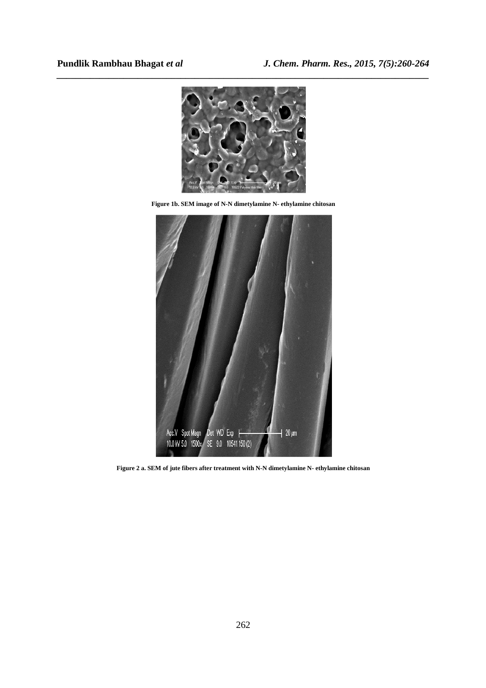

**Figure 1b. SEM image of N-N dimetylamine N- ethylamine chitosan** 



**Figure 2 a. SEM of jute fibers after treatment with N-N dimetylamine N- ethylamine chitosan**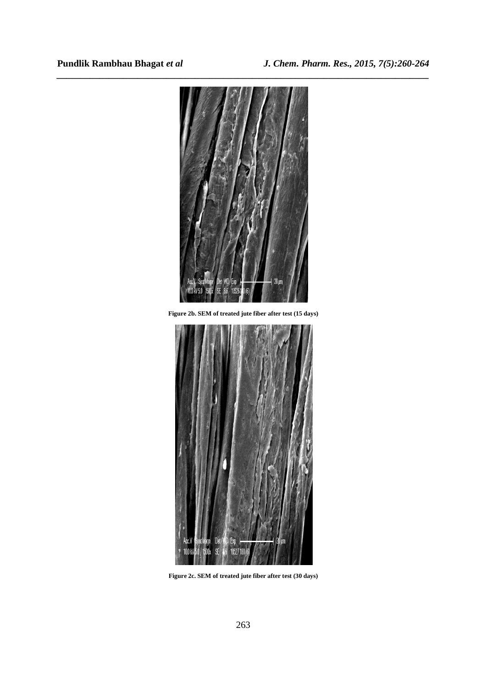

*\_\_\_\_\_\_\_\_\_\_\_\_\_\_\_\_\_\_\_\_\_\_\_\_\_\_\_\_\_\_\_\_\_\_\_\_\_\_\_\_\_\_\_\_\_\_\_\_\_\_\_\_\_\_\_\_\_\_\_\_\_\_\_\_\_\_\_\_\_\_\_\_\_\_\_\_\_\_*

**Figure 2b. SEM of treated jute fiber after test (15 days)** 



**Figure 2c. SEM of treated jute fiber after test (30 days)**